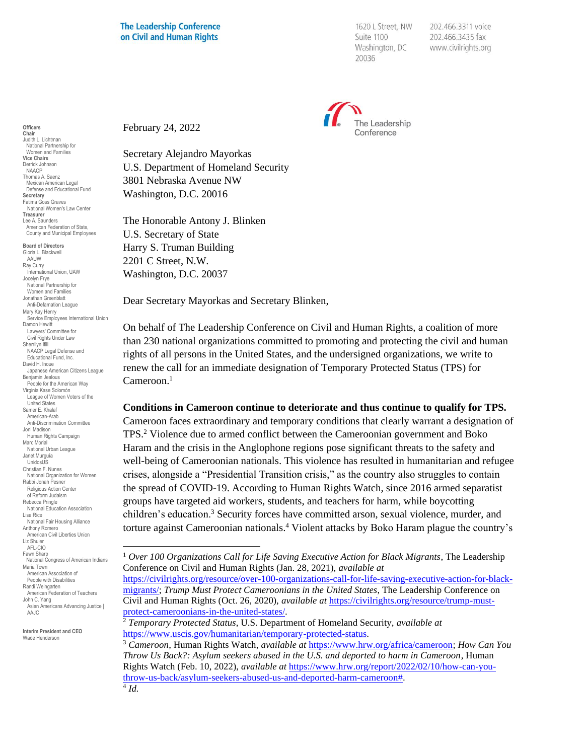## **The Leadership Conference** on Civil and Human Rights

1620 L Street, NW Suite 1100 Washington, DC 20036

202.466.3311 voice 202.466.3435 fax www.civilrights.org



February 24, 2022

Secretary Alejandro Mayorkas U.S. Department of Homeland Security 3801 Nebraska Avenue NW Washington, D.C. 20016

The Honorable Antony J. Blinken U.S. Secretary of State Harry S. Truman Building 2201 C Street, N.W. Washington, D.C. 20037

Dear Secretary Mayorkas and Secretary Blinken,

On behalf of The Leadership Conference on Civil and Human Rights, a coalition of more than 230 national organizations committed to promoting and protecting the civil and human rights of all persons in the United States, and the undersigned organizations, we write to renew the call for an immediate designation of Temporary Protected Status (TPS) for Cameroon.<sup>1</sup>

## **Conditions in Cameroon continue to deteriorate and thus continue to qualify for TPS.**

Cameroon faces extraordinary and temporary conditions that clearly warrant a designation of TPS.<sup>2</sup> Violence due to armed conflict between the Cameroonian government and Boko Haram and the crisis in the Anglophone regions pose significant threats to the safety and well-being of Cameroonian nationals. This violence has resulted in humanitarian and refugee crises, alongside a "Presidential Transition crisis," as the country also struggles to contain the spread of COVID-19. According to Human Rights Watch, since 2016 armed separatist groups have targeted aid workers, students, and teachers for harm, while boycotting children's education.<sup>3</sup> Security forces have committed arson, sexual violence, murder, and torture against Cameroonian nationals.<sup>4</sup> Violent attacks by Boko Haram plague the country's

**Officers Chair** Judith L. Lichtman National Partnership for Women and Families **Vice Chairs** Derrick Johnson NAACP Thomas A. Saenz Mexican American Legal Defense and Educational Fund **Secretary** Fatima Goss Graves National Women's Law Center **Treasurer** Lee A. Saunders American Federation of State, County and Municipal Employees **Board of Directors**

Gloria L. Blackwell AAUW Ray Curry uy Garry<br>International Union, UAW Jocelyn Frye National Partnership for Women and Families Jonathan Greenblatt Anti-Defamation League Mary Kay Henry Service Employees International Union Damon Hewitt Lawyers' Committee for Civil Rights Under Law Sherrilyn Ifill NAACP Legal Defense and Educational Fund, Inc. David H. Inoue Japanese American Citizens League Benjamin Jealous People for the American Way Virginia Kase Solomón League of Women Voters of the United States Samer E. Khalaf American-Arab Anti-Discrimination Committee Joni Madison Human Rights Campaign Marc Morial National Urban League Janet Murguía UnidosUS Christian F. Nunes National Organization for Women Rabbi Jonah Pesner Religious Action Center of Reform Judaism Rebecca Pringle National Education Association Lisa Rice National Fair Housing Alliance Anthony Romero American Civil Liberties Union Liz Shuler AFL-CIO Fawn Sharp National Congress of American Indians Maria Town American Association of People with Disabilities Randi Weingarten American Federation of Teachers John C. Yang Asian Americans Advancing Justice | AAJC

**Interim President and CEO** Wade Henderson

<sup>1</sup> *Over 100 Organizations Call for Life Saving Executive Action for Black Migrants*, The Leadership Conference on Civil and Human Rights (Jan. 28, 2021), *available at*

[https://civilrights.org/resource/over-100-organizations-call-for-life-saving-executive-action-for-black](https://civilrights.org/resource/over-100-organizations-call-for-life-saving-executive-action-for-black-migrants/)[migrants/;](https://civilrights.org/resource/over-100-organizations-call-for-life-saving-executive-action-for-black-migrants/) *Trump Must Protect Cameroonians in the United States*, The Leadership Conference on Civil and Human Rights (Oct. 26, 2020), *available at* [https://civilrights.org/resource/trump-must](https://civilrights.org/resource/trump-must-protect-cameroonians-in-the-united-states/)[protect-cameroonians-in-the-united-states/.](https://civilrights.org/resource/trump-must-protect-cameroonians-in-the-united-states/)

<sup>2</sup> *Temporary Protected Status*, U.S. Department of Homeland Security, *available at* [https://www.uscis.gov/humanitarian/temporary-protected-status.](https://www.uscis.gov/humanitarian/temporary-protected-status)

<sup>3</sup> *Cameroon*, Human Rights Watch, *available at* [https://www.hrw.org/africa/cameroon;](https://www.hrw.org/africa/cameroon) *How Can You Throw Us Back?: Asylum seekers abused in the U.S. and deported to harm in Cameroon*, Human Rights Watch (Feb. 10, 2022), *available at* [https://www.hrw.org/report/2022/02/10/how-can-you](https://www.hrw.org/report/2022/02/10/how-can-you-throw-us-back/asylum-seekers-abused-us-and-deported-harm-cameroon)[throw-us-back/asylum-seekers-abused-us-and-deported-harm-cameroon#.](https://www.hrw.org/report/2022/02/10/how-can-you-throw-us-back/asylum-seekers-abused-us-and-deported-harm-cameroon)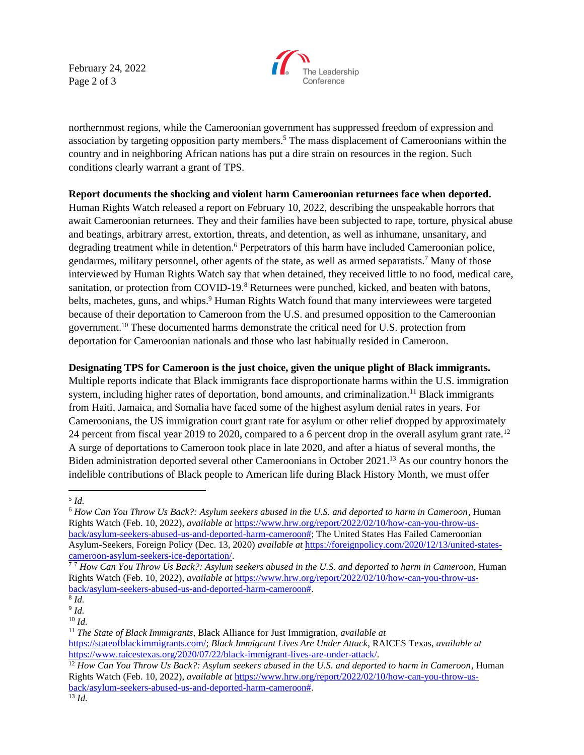February 24, 2022 Page 2 of 3



northernmost regions, while the Cameroonian government has suppressed freedom of expression and association by targeting opposition party members.<sup>5</sup> The mass displacement of Cameroonians within the country and in neighboring African nations has put a dire strain on resources in the region. Such conditions clearly warrant a grant of TPS.

## **Report documents the shocking and violent harm Cameroonian returnees face when deported.**

Human Rights Watch released a report on February 10, 2022, describing the unspeakable horrors that await Cameroonian returnees. They and their families have been subjected to rape, torture, physical abuse and beatings, arbitrary arrest, extortion, threats, and detention, as well as inhumane, unsanitary, and degrading treatment while in detention.<sup>6</sup> Perpetrators of this harm have included Cameroonian police, gendarmes, military personnel, other agents of the state, as well as armed separatists.<sup>7</sup> Many of those interviewed by Human Rights Watch say that when detained, they received little to no food, medical care, sanitation, or protection from COVID-19.<sup>8</sup> Returnees were punched, kicked, and beaten with batons, belts, machetes, guns, and whips.<sup>9</sup> Human Rights Watch found that many interviewees were targeted because of their deportation to Cameroon from the U.S. and presumed opposition to the Cameroonian government.<sup>10</sup> These documented harms demonstrate the critical need for U.S. protection from deportation for Cameroonian nationals and those who last habitually resided in Cameroon.

## **Designating TPS for Cameroon is the just choice, given the unique plight of Black immigrants.**

Multiple reports indicate that Black immigrants face disproportionate harms within the U.S. immigration system, including higher rates of deportation, bond amounts, and criminalization.<sup>11</sup> Black immigrants from Haiti, Jamaica, and Somalia have faced some of the highest asylum denial rates in years. For Cameroonians, the US immigration court grant rate for asylum or other relief dropped by approximately 24 percent from fiscal year 2019 to 2020, compared to a 6 percent drop in the overall asylum grant rate.<sup>12</sup> A surge of deportations to Cameroon took place in late 2020, and after a hiatus of several months, the Biden administration deported several other Cameroonians in October 2021.<sup>13</sup> As our country honors the indelible contributions of Black people to American life during Black History Month, we must offer

<sup>5</sup> *Id.*

<sup>6</sup> *How Can You Throw Us Back?: Asylum seekers abused in the U.S. and deported to harm in Cameroon*, Human Rights Watch (Feb. 10, 2022), *available at* [https://www.hrw.org/report/2022/02/10/how-can-you-throw-us](https://www.hrw.org/report/2022/02/10/how-can-you-throw-us-back/asylum-seekers-abused-us-and-deported-harm-cameroon)[back/asylum-seekers-abused-us-and-deported-harm-cameroon#;](https://www.hrw.org/report/2022/02/10/how-can-you-throw-us-back/asylum-seekers-abused-us-and-deported-harm-cameroon) The United States Has Failed Cameroonian Asylum-Seekers, Foreign Policy (Dec. 13, 2020) *available at* [https://foreignpolicy.com/2020/12/13/united-states](https://foreignpolicy.com/2020/12/13/united-states-cameroon-asylum-seekers-ice-deportation/)[cameroon-asylum-seekers-ice-deportation/.](https://foreignpolicy.com/2020/12/13/united-states-cameroon-asylum-seekers-ice-deportation/)

<sup>7</sup> <sup>7</sup> *How Can You Throw Us Back?: Asylum seekers abused in the U.S. and deported to harm in Cameroon*, Human Rights Watch (Feb. 10, 2022), *available at* [https://www.hrw.org/report/2022/02/10/how-can-you-throw-us](https://www.hrw.org/report/2022/02/10/how-can-you-throw-us-back/asylum-seekers-abused-us-and-deported-harm-cameroon)[back/asylum-seekers-abused-us-and-deported-harm-cameroon#.](https://www.hrw.org/report/2022/02/10/how-can-you-throw-us-back/asylum-seekers-abused-us-and-deported-harm-cameroon)

<sup>8</sup> *Id.*

<sup>9</sup> *Id.*

<sup>10</sup> *Id.*

<sup>11</sup> *The State of Black Immigrants*, Black Alliance for Just Immigration, *available at* [https://stateofblackimmigrants.com/;](https://stateofblackimmigrants.com/) *Black Immigrant Lives Are Under Attack*, RAICES Texas, *available at* [https://www.raicestexas.org/2020/07/22/black-immigrant-lives-are-under-attack/.](https://www.raicestexas.org/2020/07/22/black-immigrant-lives-are-under-attack/)

<sup>&</sup>lt;sup>12</sup> How Can You Throw Us Back?: Asylum seekers abused in the U.S. and deported to harm in Cameroon, Human Rights Watch (Feb. 10, 2022), *available at* [https://www.hrw.org/report/2022/02/10/how-can-you-throw-us](https://www.hrw.org/report/2022/02/10/how-can-you-throw-us-back/asylum-seekers-abused-us-and-deported-harm-cameroon)[back/asylum-seekers-abused-us-and-deported-harm-cameroon#.](https://www.hrw.org/report/2022/02/10/how-can-you-throw-us-back/asylum-seekers-abused-us-and-deported-harm-cameroon)